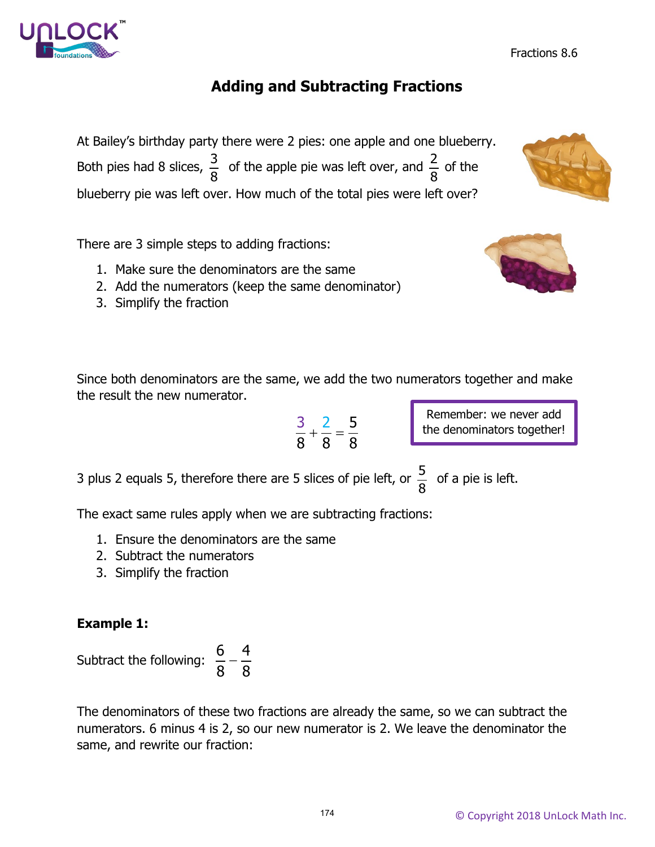# **Adding and Subtracting Fractions**

At Bailey's birthday party there were 2 pies: one apple and one blueberry. Both pies had 8 slices,  $\frac{3}{8}$ 8 of the apple pie was left over, and  $\frac{2}{9}$ 8 of the blueberry pie was left over. How much of the total pies were left over?

There are 3 simple steps to adding fractions:

- 1. Make sure the denominators are the same
- 2. Add the numerators (keep the same denominator)
- 3. Simplify the fraction

Since both denominators are the same, we add the two numerators together and make the result the new numerator.

$$
\frac{3}{8} + \frac{2}{8} = \frac{5}{8}
$$

3 plus 2 equals 5, therefore there are 5 slices of pie left, or  $\frac{5}{9}$ 8 of a pie is left.

The exact same rules apply when we are subtracting fractions:

- 1. Ensure the denominators are the same
- 2. Subtract the numerators
- 3. Simplify the fraction

### **Example 1:**



The denominators of these two fractions are already the same, so we can subtract the numerators. 6 minus 4 is 2, so our new numerator is 2. We leave the denominator the same, and rewrite our fraction:





$$
\mathcal{C}_{\mathcal{C}}
$$

Remember: we never add the denominators together!

Fractions 8.6

174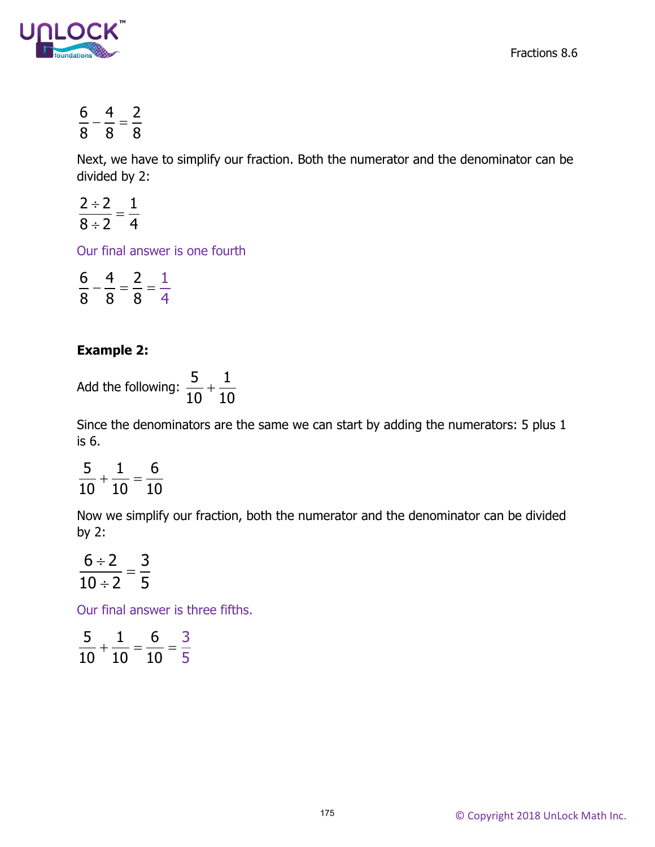Fractions 8.6



$$
\frac{6}{8} - \frac{4}{8} = \frac{2}{8}
$$

Next, we have to simplify our fraction. Both the numerator and the denominator can be divided by 2:

$$
\frac{2\div 2}{8\div 2}=\frac{1}{4}
$$

Our final answer is one fourth

$$
\frac{6}{8} - \frac{4}{8} = \frac{2}{8} = \frac{1}{4}
$$

#### **Example 2:**

Add the following:  $\frac{5}{10} + \frac{1}{10}$ 10 10  $+\frac{1}{10}$ 

Since the denominators are the same we can start by adding the numerators: 5 plus 1 is 6.

$$
\frac{5}{10}+\frac{1}{10}=\frac{6}{10}
$$

Now we simplify our fraction, both the numerator and the denominator can be divided by 2:

$$
\frac{6 \div 2}{10 \div 2} = \frac{3}{5}
$$

Our final answer is three fifths.

$$
\frac{5}{10} + \frac{1}{10} = \frac{6}{10} = \frac{3}{5}
$$